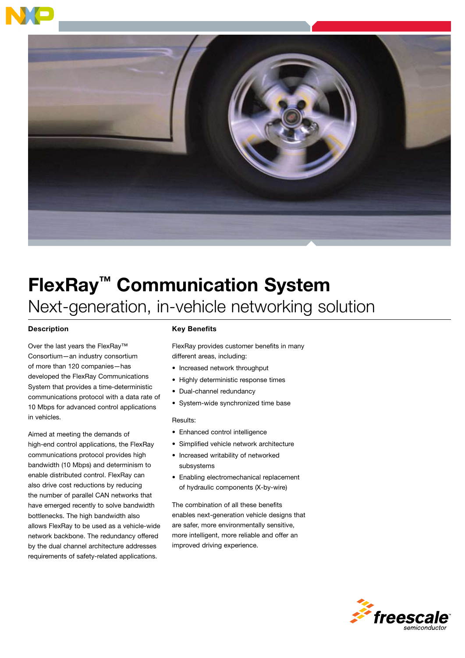

# FlexRay™ Communication System Next-generation, in-vehicle networking solution

## **Description**

Over the last years the FlexRay™ Consortium—an industry consortium of more than 120 companies—has developed the FlexRay Communications System that provides a time-deterministic communications protocol with a data rate of 10 Mbps for advanced control applications in vehicles.

Aimed at meeting the demands of high-end control applications, the FlexRay communications protocol provides high bandwidth (10 Mbps) and determinism to enable distributed control. FlexRay can also drive cost reductions by reducing the number of parallel CAN networks that have emerged recently to solve bandwidth bottlenecks. The high bandwidth also allows FlexRay to be used as a vehicle-wide network backbone. The redundancy offered by the dual channel architecture addresses requirements of safety-related applications.

## Key Benefits

FlexRay provides customer benefits in many different areas, including:

- Increased network throughput
- Highly deterministic response times
- Dual-channel redundancy
- System-wide synchronized time base

#### Results:

- Enhanced control intelligence
- Simplified vehicle network architecture
- Increased writability of networked subsystems
- Enabling electromechanical replacement of hydraulic components (X-by-wire)

The combination of all these benefits enables next-generation vehicle designs that are safer, more environmentally sensitive, more intelligent, more reliable and offer an improved driving experience.